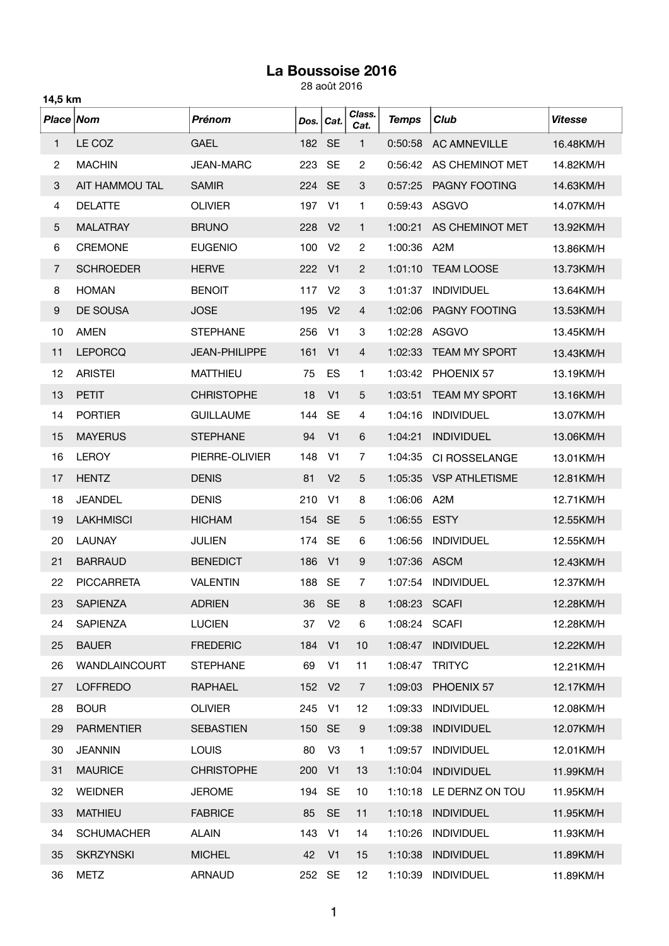## **La Boussoise 2016**

28 août 2016

|                | 14,5 km              |                      |      |                |                |              |                       |                |  |  |
|----------------|----------------------|----------------------|------|----------------|----------------|--------------|-----------------------|----------------|--|--|
| Place Nom      |                      | <b>Prénom</b>        | Dos. | Cat.           | Class.<br>Cat. | <b>Temps</b> | Club                  | <b>Vitesse</b> |  |  |
| 1              | LE COZ               | <b>GAEL</b>          | 182  | <b>SE</b>      | 1              | 0:50:58      | <b>AC AMNEVILLE</b>   | 16.48KM/H      |  |  |
| $\overline{c}$ | <b>MACHIN</b>        | <b>JEAN-MARC</b>     | 223  | <b>SE</b>      | 2              | 0:56:42      | AS CHEMINOT MET       | 14.82KM/H      |  |  |
| 3              | AIT HAMMOU TAL       | <b>SAMIR</b>         | 224  | <b>SE</b>      | 3              | 0:57:25      | PAGNY FOOTING         | 14.63KM/H      |  |  |
| 4              | <b>DELATTE</b>       | <b>OLIVIER</b>       | 197  | V <sub>1</sub> | 1              | 0:59:43      | <b>ASGVO</b>          | 14.07KM/H      |  |  |
| 5              | <b>MALATRAY</b>      | <b>BRUNO</b>         | 228  | V <sub>2</sub> | 1              | 1:00:21      | AS CHEMINOT MET       | 13.92KM/H      |  |  |
| 6              | <b>CREMONE</b>       | <b>EUGENIO</b>       | 100  | V <sub>2</sub> | 2              | 1:00:36      | A <sub>2</sub> M      | 13.86KM/H      |  |  |
| $\overline{7}$ | <b>SCHROEDER</b>     | <b>HERVE</b>         | 222  | V <sub>1</sub> | $\overline{2}$ | 1:01:10      | <b>TEAM LOOSE</b>     | 13.73KM/H      |  |  |
| 8              | <b>HOMAN</b>         | <b>BENOIT</b>        | 117  | V <sub>2</sub> | 3              | 1:01:37      | <b>INDIVIDUEL</b>     | 13.64KM/H      |  |  |
| 9              | DE SOUSA             | <b>JOSE</b>          | 195  | V <sub>2</sub> | 4              | 1:02:06      | PAGNY FOOTING         | 13.53KM/H      |  |  |
| 10             | <b>AMEN</b>          | <b>STEPHANE</b>      | 256  | V <sub>1</sub> | 3              | 1:02:28      | <b>ASGVO</b>          | 13.45KM/H      |  |  |
| 11             | <b>LEPORCQ</b>       | <b>JEAN-PHILIPPE</b> | 161  | V <sub>1</sub> | 4              | 1:02:33      | <b>TEAM MY SPORT</b>  | 13.43KM/H      |  |  |
| 12             | <b>ARISTEI</b>       | <b>MATTHIEU</b>      | 75   | ES             | 1              | 1:03:42      | PHOENIX 57            | 13.19KM/H      |  |  |
| 13             | <b>PETIT</b>         | <b>CHRISTOPHE</b>    | 18   | V <sub>1</sub> | 5              | 1:03:51      | <b>TEAM MY SPORT</b>  | 13.16KM/H      |  |  |
| 14             | <b>PORTIER</b>       | <b>GUILLAUME</b>     | 144  | <b>SE</b>      | 4              | 1:04:16      | <b>INDIVIDUEL</b>     | 13.07KM/H      |  |  |
| 15             | <b>MAYERUS</b>       | <b>STEPHANE</b>      | 94   | V <sub>1</sub> | 6              | 1:04:21      | <b>INDIVIDUEL</b>     | 13.06KM/H      |  |  |
| 16             | <b>LEROY</b>         | PIERRE-OLIVIER       | 148  | V <sub>1</sub> | $\overline{7}$ | 1:04:35      | CI ROSSELANGE         | 13.01KM/H      |  |  |
| 17             | <b>HENTZ</b>         | <b>DENIS</b>         | 81   | V <sub>2</sub> | 5              | 1:05:35      | <b>VSP ATHLETISME</b> | 12.81KM/H      |  |  |
| 18             | <b>JEANDEL</b>       | <b>DENIS</b>         | 210  | V <sub>1</sub> | 8              | 1:06:06      | A <sub>2</sub> M      | 12.71KM/H      |  |  |
| 19             | <b>LAKHMISCI</b>     | <b>HICHAM</b>        | 154  | <b>SE</b>      | 5              | 1:06:55      | <b>ESTY</b>           | 12.55KM/H      |  |  |
| 20             | <b>LAUNAY</b>        | <b>JULIEN</b>        | 174  | <b>SE</b>      | 6              | 1:06:56      | <b>INDIVIDUEL</b>     | 12.55KM/H      |  |  |
| 21             | <b>BARRAUD</b>       | <b>BENEDICT</b>      | 186  | V <sub>1</sub> | 9              | 1:07:36      | <b>ASCM</b>           | 12.43KM/H      |  |  |
| 22             | <b>PICCARRETA</b>    | <b>VALENTIN</b>      | 188  | <b>SE</b>      | $\overline{7}$ | 1:07:54      | <b>INDIVIDUEL</b>     | 12.37KM/H      |  |  |
| 23             | <b>SAPIENZA</b>      | <b>ADRIEN</b>        | 36   | <b>SE</b>      | 8              | 1:08:23      | <b>SCAFI</b>          | 12.28KM/H      |  |  |
| 24             | SAPIENZA             | <b>LUCIEN</b>        | 37   | V <sub>2</sub> | 6              | 1:08:24      | <b>SCAFI</b>          | 12.28KM/H      |  |  |
| 25             | <b>BAUER</b>         | <b>FREDERIC</b>      | 184  | V <sub>1</sub> | 10             | 1:08:47      | <b>INDIVIDUEL</b>     | 12.22KM/H      |  |  |
| 26             | <b>WANDLAINCOURT</b> | <b>STEPHANE</b>      | 69   | V <sub>1</sub> | 11             | 1:08:47      | <b>TRITYC</b>         | 12.21KM/H      |  |  |
| 27             | <b>LOFFREDO</b>      | RAPHAEL              | 152  | V <sub>2</sub> | $\overline{7}$ | 1:09:03      | PHOENIX 57            | 12.17KM/H      |  |  |
| 28             | <b>BOUR</b>          | <b>OLIVIER</b>       | 245  | V <sub>1</sub> | 12             | 1:09:33      | <b>INDIVIDUEL</b>     | 12.08KM/H      |  |  |
| 29             | <b>PARMENTIER</b>    | <b>SEBASTIEN</b>     | 150  | <b>SE</b>      | 9              | 1:09:38      | <b>INDIVIDUEL</b>     | 12.07KM/H      |  |  |
| 30             | <b>JEANNIN</b>       | <b>LOUIS</b>         | 80   | V <sub>3</sub> | $\mathbf{1}$   | 1:09:57      | <b>INDIVIDUEL</b>     | 12.01KM/H      |  |  |
| 31             | <b>MAURICE</b>       | <b>CHRISTOPHE</b>    | 200  | V <sub>1</sub> | 13             | 1:10:04      | <b>INDIVIDUEL</b>     | 11.99KM/H      |  |  |
| 32             | <b>WEIDNER</b>       | <b>JEROME</b>        | 194  | <b>SE</b>      | 10             | 1:10:18      | LE DERNZ ON TOU       | 11.95KM/H      |  |  |
| 33             | <b>MATHIEU</b>       | <b>FABRICE</b>       | 85   | <b>SE</b>      | 11             | 1:10:18      | <b>INDIVIDUEL</b>     | 11.95KM/H      |  |  |
| 34             | <b>SCHUMACHER</b>    | <b>ALAIN</b>         | 143  | V <sub>1</sub> | 14             | 1:10:26      | <b>INDIVIDUEL</b>     | 11.93KM/H      |  |  |
| 35             | <b>SKRZYNSKI</b>     | <b>MICHEL</b>        | 42   | V <sub>1</sub> | 15             | 1:10:38      | <b>INDIVIDUEL</b>     | 11.89KM/H      |  |  |
| 36             | <b>METZ</b>          | <b>ARNAUD</b>        | 252  | <b>SE</b>      | 12             | 1:10:39      | <b>INDIVIDUEL</b>     | 11.89KM/H      |  |  |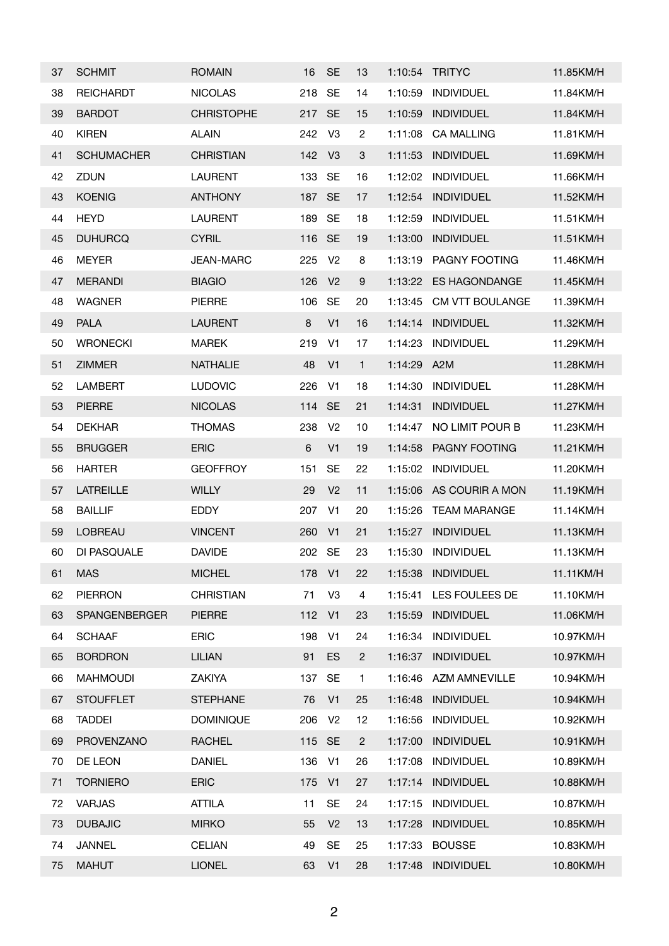| 37 | <b>SCHMIT</b>     | <b>ROMAIN</b>     | 16     | <b>SE</b>      | 13             | 1:10:54 | <b>TRITYC</b>        | 11.85KM/H |
|----|-------------------|-------------------|--------|----------------|----------------|---------|----------------------|-----------|
| 38 | <b>REICHARDT</b>  | <b>NICOLAS</b>    | 218    | <b>SE</b>      | 14             | 1:10:59 | <b>INDIVIDUEL</b>    | 11.84KM/H |
| 39 | <b>BARDOT</b>     | <b>CHRISTOPHE</b> | 217    | <b>SE</b>      | 15             | 1:10:59 | <b>INDIVIDUEL</b>    | 11.84KM/H |
| 40 | <b>KIREN</b>      | <b>ALAIN</b>      | 242    | V <sub>3</sub> | $\overline{c}$ | 1:11:08 | <b>CA MALLING</b>    | 11.81KM/H |
| 41 | <b>SCHUMACHER</b> | <b>CHRISTIAN</b>  | 142    | V <sub>3</sub> | 3              | 1:11:53 | <b>INDIVIDUEL</b>    | 11.69KM/H |
| 42 | ZDUN              | <b>LAURENT</b>    | 133    | <b>SE</b>      | 16             | 1:12:02 | <b>INDIVIDUEL</b>    | 11.66KM/H |
| 43 | <b>KOENIG</b>     | <b>ANTHONY</b>    | 187    | <b>SE</b>      | 17             | 1:12:54 | <b>INDIVIDUEL</b>    | 11.52KM/H |
| 44 | <b>HEYD</b>       | <b>LAURENT</b>    | 189    | <b>SE</b>      | 18             | 1:12:59 | <b>INDIVIDUEL</b>    | 11.51KM/H |
| 45 | <b>DUHURCQ</b>    | <b>CYRIL</b>      | 116 SE |                | 19             | 1:13:00 | <b>INDIVIDUEL</b>    | 11.51KM/H |
| 46 | <b>MEYER</b>      | <b>JEAN-MARC</b>  | 225    | V <sub>2</sub> | 8              | 1:13:19 | PAGNY FOOTING        | 11.46KM/H |
| 47 | <b>MERANDI</b>    | <b>BIAGIO</b>     | 126    | V <sub>2</sub> | 9              | 1:13:22 | <b>ES HAGONDANGE</b> | 11.45KM/H |
| 48 | <b>WAGNER</b>     | <b>PIERRE</b>     | 106    | <b>SE</b>      | 20             | 1:13:45 | CM VTT BOULANGE      | 11.39KM/H |
| 49 | <b>PALA</b>       | <b>LAURENT</b>    | 8      | V <sub>1</sub> | 16             | 1:14:14 | <b>INDIVIDUEL</b>    | 11.32KM/H |
| 50 | <b>WRONECKI</b>   | <b>MAREK</b>      | 219    | V <sub>1</sub> | 17             | 1:14:23 | <b>INDIVIDUEL</b>    | 11.29KM/H |
| 51 | <b>ZIMMER</b>     | <b>NATHALIE</b>   | 48     | V <sub>1</sub> | $\mathbf{1}$   | 1:14:29 | A2M                  | 11.28KM/H |
| 52 | <b>LAMBERT</b>    | <b>LUDOVIC</b>    | 226    | V <sub>1</sub> | 18             | 1:14:30 | <b>INDIVIDUEL</b>    | 11.28KM/H |
| 53 | <b>PIERRE</b>     | <b>NICOLAS</b>    | 114    | <b>SE</b>      | 21             | 1:14:31 | <b>INDIVIDUEL</b>    | 11.27KM/H |
| 54 | <b>DEKHAR</b>     | <b>THOMAS</b>     | 238    | V <sub>2</sub> | 10             | 1:14:47 | NO LIMIT POUR B      | 11.23KM/H |
| 55 | <b>BRUGGER</b>    | <b>ERIC</b>       | 6      | V <sub>1</sub> | 19             | 1:14:58 | PAGNY FOOTING        | 11.21KM/H |
| 56 | <b>HARTER</b>     | <b>GEOFFROY</b>   | 151    | <b>SE</b>      | 22             | 1:15:02 | <b>INDIVIDUEL</b>    | 11.20KM/H |
| 57 | <b>LATREILLE</b>  | <b>WILLY</b>      | 29     | V <sub>2</sub> | 11             | 1:15:06 | AS COURIR A MON      | 11.19KM/H |
| 58 | <b>BAILLIF</b>    | <b>EDDY</b>       | 207    | V <sub>1</sub> | 20             | 1:15:26 | <b>TEAM MARANGE</b>  | 11.14KM/H |
| 59 | <b>LOBREAU</b>    | <b>VINCENT</b>    | 260    | V <sub>1</sub> | 21             | 1:15:27 | <b>INDIVIDUEL</b>    | 11.13KM/H |
| 60 | DI PASQUALE       | <b>DAVIDE</b>     | 202    | <b>SE</b>      | 23             | 1:15:30 | <b>INDIVIDUEL</b>    | 11.13KM/H |
| 61 | <b>MAS</b>        | <b>MICHEL</b>     | 178    | V <sub>1</sub> | 22             | 1:15:38 | <b>INDIVIDUEL</b>    | 11.11KM/H |
| 62 | <b>PIERRON</b>    | <b>CHRISTIAN</b>  | 71     | V <sub>3</sub> | 4              | 1:15:41 | LES FOULEES DE       | 11.10KM/H |
| 63 | SPANGENBERGER     | <b>PIERRE</b>     | 112    | V <sub>1</sub> | 23             | 1:15:59 | <b>INDIVIDUEL</b>    | 11.06KM/H |
| 64 | <b>SCHAAF</b>     | <b>ERIC</b>       | 198    | V <sub>1</sub> | 24             | 1:16:34 | <b>INDIVIDUEL</b>    | 10.97KM/H |
| 65 | <b>BORDRON</b>    | <b>LILIAN</b>     | 91     | ES             | $\mathbf{2}$   | 1:16:37 | <b>INDIVIDUEL</b>    | 10.97KM/H |
| 66 | <b>MAHMOUDI</b>   | ZAKIYA            | 137    | <b>SE</b>      | 1              | 1:16:46 | <b>AZM AMNEVILLE</b> | 10.94KM/H |
| 67 | <b>STOUFFLET</b>  | <b>STEPHANE</b>   | 76     | V <sub>1</sub> | 25             | 1:16:48 | <b>INDIVIDUEL</b>    | 10.94KM/H |
| 68 | <b>TADDEI</b>     | <b>DOMINIQUE</b>  | 206    | V <sub>2</sub> | 12             | 1:16:56 | <b>INDIVIDUEL</b>    | 10.92KM/H |
| 69 | <b>PROVENZANO</b> | <b>RACHEL</b>     | 115    | <b>SE</b>      | $\overline{2}$ | 1:17:00 | <b>INDIVIDUEL</b>    | 10.91KM/H |
| 70 | DE LEON           | <b>DANIEL</b>     | 136    | V <sub>1</sub> | 26             | 1:17:08 | <b>INDIVIDUEL</b>    | 10.89KM/H |
| 71 | <b>TORNIERO</b>   | <b>ERIC</b>       | 175    | V <sub>1</sub> | 27             | 1:17:14 | <b>INDIVIDUEL</b>    | 10.88KM/H |
| 72 | <b>VARJAS</b>     | <b>ATTILA</b>     | 11     | <b>SE</b>      | 24             | 1:17:15 | <b>INDIVIDUEL</b>    | 10.87KM/H |
| 73 | <b>DUBAJIC</b>    | <b>MIRKO</b>      | 55     | V <sub>2</sub> | 13             | 1:17:28 | <b>INDIVIDUEL</b>    | 10.85KM/H |
| 74 | <b>JANNEL</b>     | <b>CELIAN</b>     | 49     | <b>SE</b>      | 25             | 1:17:33 | <b>BOUSSE</b>        | 10.83KM/H |
| 75 | <b>MAHUT</b>      | <b>LIONEL</b>     | 63     | V <sub>1</sub> | 28             | 1:17:48 | <b>INDIVIDUEL</b>    | 10.80KM/H |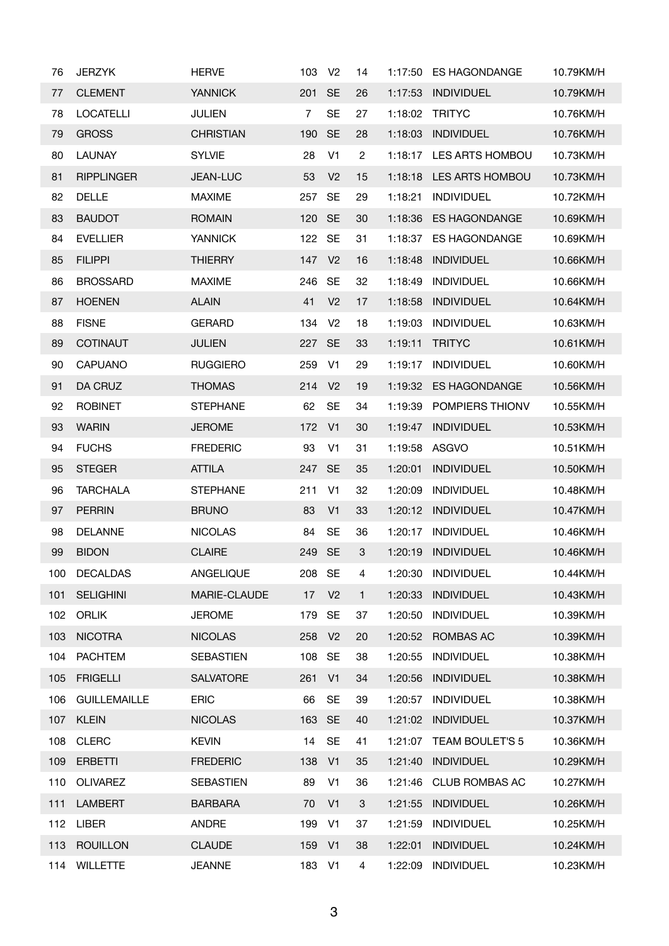| 76  | <b>JERZYK</b>       | <b>HERVE</b>     | 103            | V <sub>2</sub> | 14             | 1:17:50 | <b>ES HAGONDANGE</b>   | 10.79KM/H |
|-----|---------------------|------------------|----------------|----------------|----------------|---------|------------------------|-----------|
| 77  | <b>CLEMENT</b>      | <b>YANNICK</b>   | 201            | <b>SE</b>      | 26             | 1:17:53 | <b>INDIVIDUEL</b>      | 10.79KM/H |
| 78  | <b>LOCATELLI</b>    | <b>JULIEN</b>    | $\overline{7}$ | <b>SE</b>      | 27             | 1:18:02 | <b>TRITYC</b>          | 10.76KM/H |
| 79  | <b>GROSS</b>        | <b>CHRISTIAN</b> | 190            | <b>SE</b>      | 28             | 1:18:03 | <b>INDIVIDUEL</b>      | 10.76KM/H |
| 80  | <b>LAUNAY</b>       | <b>SYLVIE</b>    | 28             | V <sub>1</sub> | $\overline{c}$ | 1:18:17 | <b>LES ARTS HOMBOU</b> | 10.73KM/H |
| 81  | <b>RIPPLINGER</b>   | <b>JEAN-LUC</b>  | 53             | V <sub>2</sub> | 15             | 1:18:18 | LES ARTS HOMBOU        | 10.73KM/H |
| 82  | <b>DELLE</b>        | <b>MAXIME</b>    | 257            | <b>SE</b>      | 29             | 1:18:21 | <b>INDIVIDUEL</b>      | 10.72KM/H |
| 83  | <b>BAUDOT</b>       | <b>ROMAIN</b>    | 120            | <b>SE</b>      | 30             | 1:18:36 | <b>ES HAGONDANGE</b>   | 10.69KM/H |
| 84  | <b>EVELLIER</b>     | <b>YANNICK</b>   | 122            | <b>SE</b>      | 31             | 1:18:37 | <b>ES HAGONDANGE</b>   | 10.69KM/H |
| 85  | <b>FILIPPI</b>      | <b>THIERRY</b>   | 147            | V <sub>2</sub> | 16             | 1:18:48 | <b>INDIVIDUEL</b>      | 10.66KM/H |
| 86  | <b>BROSSARD</b>     | <b>MAXIME</b>    | 246            | <b>SE</b>      | 32             | 1:18:49 | <b>INDIVIDUEL</b>      | 10.66KM/H |
| 87  | <b>HOENEN</b>       | <b>ALAIN</b>     | 41             | V <sub>2</sub> | 17             | 1:18:58 | <b>INDIVIDUEL</b>      | 10.64KM/H |
| 88  | <b>FISNE</b>        | <b>GERARD</b>    | 134            | V <sub>2</sub> | 18             | 1:19:03 | <b>INDIVIDUEL</b>      | 10.63KM/H |
| 89  | <b>COTINAUT</b>     | <b>JULIEN</b>    | 227 SE         |                | 33             | 1:19:11 | <b>TRITYC</b>          | 10.61KM/H |
| 90  | <b>CAPUANO</b>      | <b>RUGGIERO</b>  | 259            | V <sub>1</sub> | 29             | 1:19:17 | <b>INDIVIDUEL</b>      | 10.60KM/H |
| 91  | DA CRUZ             | <b>THOMAS</b>    | 214            | V <sub>2</sub> | 19             | 1:19:32 | <b>ES HAGONDANGE</b>   | 10.56KM/H |
| 92  | <b>ROBINET</b>      | <b>STEPHANE</b>  | 62             | <b>SE</b>      | 34             | 1:19:39 | POMPIERS THIONV        | 10.55KM/H |
| 93  | <b>WARIN</b>        | <b>JEROME</b>    | 172            | V <sub>1</sub> | 30             | 1:19:47 | <b>INDIVIDUEL</b>      | 10.53KM/H |
| 94  | <b>FUCHS</b>        | <b>FREDERIC</b>  | 93             | V <sub>1</sub> | 31             | 1:19:58 | ASGVO                  | 10.51KM/H |
| 95  | <b>STEGER</b>       | <b>ATTILA</b>    | 247            | <b>SE</b>      | 35             | 1:20:01 | <b>INDIVIDUEL</b>      | 10.50KM/H |
| 96  | <b>TARCHALA</b>     | <b>STEPHANE</b>  | 211            | V <sub>1</sub> | 32             | 1:20:09 | <b>INDIVIDUEL</b>      | 10.48KM/H |
| 97  | <b>PERRIN</b>       | <b>BRUNO</b>     | 83             | V <sub>1</sub> | 33             | 1:20:12 | <b>INDIVIDUEL</b>      | 10.47KM/H |
| 98  | <b>DELANNE</b>      | <b>NICOLAS</b>   | 84             | <b>SE</b>      | 36             | 1:20:17 | <b>INDIVIDUEL</b>      | 10.46KM/H |
| 99  | <b>BIDON</b>        | <b>CLAIRE</b>    | 249 SE         |                | 3              | 1:20:19 | <b>INDIVIDUEL</b>      | 10.46KM/H |
| 100 | <b>DECALDAS</b>     | ANGELIQUE        | 208            | <b>SE</b>      | 4              | 1:20:30 | <b>INDIVIDUEL</b>      | 10.44KM/H |
| 101 | <b>SELIGHINI</b>    | MARIE-CLAUDE     | 17             | V <sub>2</sub> | $\mathbf{1}$   | 1:20:33 | <b>INDIVIDUEL</b>      | 10.43KM/H |
| 102 | <b>ORLIK</b>        | <b>JEROME</b>    | 179            | <b>SE</b>      | 37             | 1:20:50 | <b>INDIVIDUEL</b>      | 10.39KM/H |
| 103 | <b>NICOTRA</b>      | <b>NICOLAS</b>   | 258            | V <sub>2</sub> | 20             | 1:20:52 | <b>ROMBAS AC</b>       | 10.39KM/H |
| 104 | <b>PACHTEM</b>      | <b>SEBASTIEN</b> | 108            | SE             | 38             | 1:20:55 | <b>INDIVIDUEL</b>      | 10.38KM/H |
| 105 | <b>FRIGELLI</b>     | <b>SALVATORE</b> | 261            | V <sub>1</sub> | 34             | 1:20:56 | <b>INDIVIDUEL</b>      | 10.38KM/H |
| 106 | <b>GUILLEMAILLE</b> | <b>ERIC</b>      | 66             | <b>SE</b>      | 39             | 1:20:57 | <b>INDIVIDUEL</b>      | 10.38KM/H |
| 107 | <b>KLEIN</b>        | <b>NICOLAS</b>   | 163 SE         |                | 40             | 1:21:02 | <b>INDIVIDUEL</b>      | 10.37KM/H |
| 108 | <b>CLERC</b>        | <b>KEVIN</b>     | 14             | <b>SE</b>      | 41             | 1:21:07 | <b>TEAM BOULET'S 5</b> | 10.36KM/H |
| 109 | ERBETTI             | <b>FREDERIC</b>  | 138 V1         |                | 35             | 1:21:40 | <b>INDIVIDUEL</b>      | 10.29KM/H |
| 110 | <b>OLIVAREZ</b>     | <b>SEBASTIEN</b> | 89             | V <sub>1</sub> | 36             | 1:21:46 | <b>CLUB ROMBAS AC</b>  | 10.27KM/H |
| 111 | <b>LAMBERT</b>      | <b>BARBARA</b>   | 70             | V <sub>1</sub> | 3              | 1:21:55 | <b>INDIVIDUEL</b>      | 10.26KM/H |
| 112 | <b>LIBER</b>        | ANDRE            | 199            | V <sub>1</sub> | 37             | 1:21:59 | <b>INDIVIDUEL</b>      | 10.25KM/H |
| 113 | <b>ROUILLON</b>     | <b>CLAUDE</b>    | 159            | V <sub>1</sub> | 38             | 1:22:01 | <b>INDIVIDUEL</b>      | 10.24KM/H |
| 114 | <b>WILLETTE</b>     | <b>JEANNE</b>    | 183 V1         |                | 4              | 1:22:09 | <b>INDIVIDUEL</b>      | 10.23KM/H |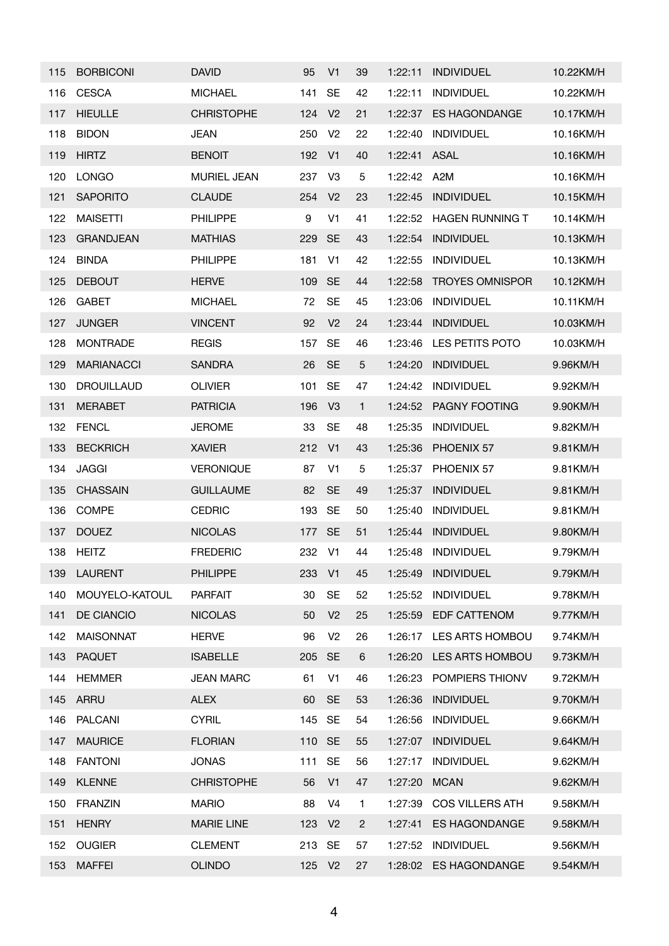| 115 | <b>BORBICONI</b>  | <b>DAVID</b>       | 95     | V <sub>1</sub> | 39           | 1:22:11 | <b>INDIVIDUEL</b>      | 10.22KM/H |
|-----|-------------------|--------------------|--------|----------------|--------------|---------|------------------------|-----------|
| 116 | <b>CESCA</b>      | <b>MICHAEL</b>     | 141    | <b>SE</b>      | 42           | 1:22:11 | <b>INDIVIDUEL</b>      | 10.22KM/H |
| 117 | <b>HIEULLE</b>    | <b>CHRISTOPHE</b>  | 124    | V <sub>2</sub> | 21           | 1:22:37 | ES HAGONDANGE          | 10.17KM/H |
| 118 | <b>BIDON</b>      | <b>JEAN</b>        | 250    | V <sub>2</sub> | 22           | 1:22:40 | <b>INDIVIDUEL</b>      | 10.16KM/H |
| 119 | <b>HIRTZ</b>      | <b>BENOIT</b>      | 192    | V <sub>1</sub> | 40           | 1:22:41 | <b>ASAL</b>            | 10.16KM/H |
| 120 | <b>LONGO</b>      | <b>MURIEL JEAN</b> | 237    | V <sub>3</sub> | 5            | 1:22:42 | A2M                    | 10.16KM/H |
| 121 | <b>SAPORITO</b>   | <b>CLAUDE</b>      | 254    | V <sub>2</sub> | 23           | 1:22:45 | <b>INDIVIDUEL</b>      | 10.15KM/H |
| 122 | <b>MAISETTI</b>   | <b>PHILIPPE</b>    | 9      | V <sub>1</sub> | 41           | 1:22:52 | <b>HAGEN RUNNING T</b> | 10.14KM/H |
| 123 | <b>GRANDJEAN</b>  | <b>MATHIAS</b>     | 229    | <b>SE</b>      | 43           | 1:22:54 | <b>INDIVIDUEL</b>      | 10.13KM/H |
| 124 | <b>BINDA</b>      | PHILIPPE           | 181    | V <sub>1</sub> | 42           | 1:22:55 | <b>INDIVIDUEL</b>      | 10.13KM/H |
| 125 | <b>DEBOUT</b>     | <b>HERVE</b>       | 109    | <b>SE</b>      | 44           | 1:22:58 | <b>TROYES OMNISPOR</b> | 10.12KM/H |
| 126 | <b>GABET</b>      | <b>MICHAEL</b>     | 72     | <b>SE</b>      | 45           | 1:23:06 | <b>INDIVIDUEL</b>      | 10.11KM/H |
| 127 | <b>JUNGER</b>     | <b>VINCENT</b>     | 92     | V <sub>2</sub> | 24           | 1:23:44 | <b>INDIVIDUEL</b>      | 10.03KM/H |
| 128 | <b>MONTRADE</b>   | <b>REGIS</b>       | 157    | <b>SE</b>      | 46           | 1:23:46 | LES PETITS POTO        | 10.03KM/H |
| 129 | <b>MARIANACCI</b> | <b>SANDRA</b>      | 26     | <b>SE</b>      | 5            | 1:24:20 | <b>INDIVIDUEL</b>      | 9.96KM/H  |
| 130 | <b>DROUILLAUD</b> | <b>OLIVIER</b>     | 101    | <b>SE</b>      | 47           | 1:24:42 | <b>INDIVIDUEL</b>      | 9.92KM/H  |
| 131 | <b>MERABET</b>    | <b>PATRICIA</b>    | 196    | V <sub>3</sub> | $\mathbf{1}$ | 1:24:52 | <b>PAGNY FOOTING</b>   | 9.90KM/H  |
| 132 | <b>FENCL</b>      | <b>JEROME</b>      | 33     | <b>SE</b>      | 48           | 1:25:35 | <b>INDIVIDUEL</b>      | 9.82KM/H  |
| 133 | <b>BECKRICH</b>   | <b>XAVIER</b>      | 212    | V <sub>1</sub> | 43           | 1:25:36 | PHOENIX 57             | 9.81KM/H  |
| 134 | <b>JAGGI</b>      | <b>VERONIQUE</b>   | 87     | V <sub>1</sub> | 5            | 1:25:37 | PHOENIX 57             | 9.81KM/H  |
| 135 | <b>CHASSAIN</b>   | <b>GUILLAUME</b>   | 82     | <b>SE</b>      | 49           | 1:25:37 | <b>INDIVIDUEL</b>      | 9.81KM/H  |
| 136 | <b>COMPE</b>      | <b>CEDRIC</b>      | 193    | <b>SE</b>      | 50           | 1:25:40 | <b>INDIVIDUEL</b>      | 9.81KM/H  |
| 137 | <b>DOUEZ</b>      | <b>NICOLAS</b>     | 177    | <b>SE</b>      | 51           | 1:25:44 | <b>INDIVIDUEL</b>      | 9.80KM/H  |
| 138 | <b>HEITZ</b>      | <b>FREDERIC</b>    | 232    | V1             | 44           | 1:25:48 | <b>INDIVIDUEL</b>      | 9.79KM/H  |
| 139 | <b>LAURENT</b>    | <b>PHILIPPE</b>    | 233    | V <sub>1</sub> | 45           | 1:25:49 | <b>INDIVIDUEL</b>      | 9.79KM/H  |
| 140 | MOUYELO-KATOUL    | <b>PARFAIT</b>     | 30     | <b>SE</b>      | 52           | 1:25:52 | <b>INDIVIDUEL</b>      | 9.78KM/H  |
| 141 | DE CIANCIO        | <b>NICOLAS</b>     | 50     | V <sub>2</sub> | 25           | 1:25:59 | <b>EDF CATTENOM</b>    | 9.77KM/H  |
| 142 | <b>MAISONNAT</b>  | <b>HERVE</b>       | 96     | V <sub>2</sub> | 26           | 1:26:17 | <b>LES ARTS HOMBOU</b> | 9.74KM/H  |
| 143 | <b>PAQUET</b>     | <b>ISABELLE</b>    | 205    | <b>SE</b>      | 6            | 1:26:20 | LES ARTS HOMBOU        | 9.73KM/H  |
| 144 | <b>HEMMER</b>     | <b>JEAN MARC</b>   | 61     | V <sub>1</sub> | 46           | 1:26:23 | POMPIERS THIONV        | 9.72KM/H  |
| 145 | <b>ARRU</b>       | <b>ALEX</b>        | 60     | <b>SE</b>      | 53           | 1:26:36 | <b>INDIVIDUEL</b>      | 9.70KM/H  |
| 146 | <b>PALCANI</b>    | <b>CYRIL</b>       | 145    | <b>SE</b>      | 54           | 1:26:56 | <b>INDIVIDUEL</b>      | 9.66KM/H  |
| 147 | <b>MAURICE</b>    | <b>FLORIAN</b>     | 110    | <b>SE</b>      | 55           | 1:27:07 | <b>INDIVIDUEL</b>      | 9.64KM/H  |
| 148 | <b>FANTONI</b>    | <b>JONAS</b>       | 111    | <b>SE</b>      | 56           | 1:27:17 | <b>INDIVIDUEL</b>      | 9.62KM/H  |
| 149 | <b>KLENNE</b>     | <b>CHRISTOPHE</b>  | 56     | V <sub>1</sub> | 47           | 1:27:20 | <b>MCAN</b>            | 9.62KM/H  |
| 150 | <b>FRANZIN</b>    | <b>MARIO</b>       | 88     | V <sub>4</sub> | $\mathbf{1}$ | 1:27:39 | <b>COS VILLERS ATH</b> | 9.58KM/H  |
| 151 | <b>HENRY</b>      | <b>MARIE LINE</b>  | 123    | V <sub>2</sub> | $\mathbf{2}$ | 1:27:41 | <b>ES HAGONDANGE</b>   | 9.58KM/H  |
| 152 | <b>OUGIER</b>     | <b>CLEMENT</b>     | 213    | <b>SE</b>      | 57           | 1:27:52 | <b>INDIVIDUEL</b>      | 9.56KM/H  |
| 153 | <b>MAFFEI</b>     | <b>OLINDO</b>      | 125 V2 |                | 27           | 1:28:02 | <b>ES HAGONDANGE</b>   | 9.54KM/H  |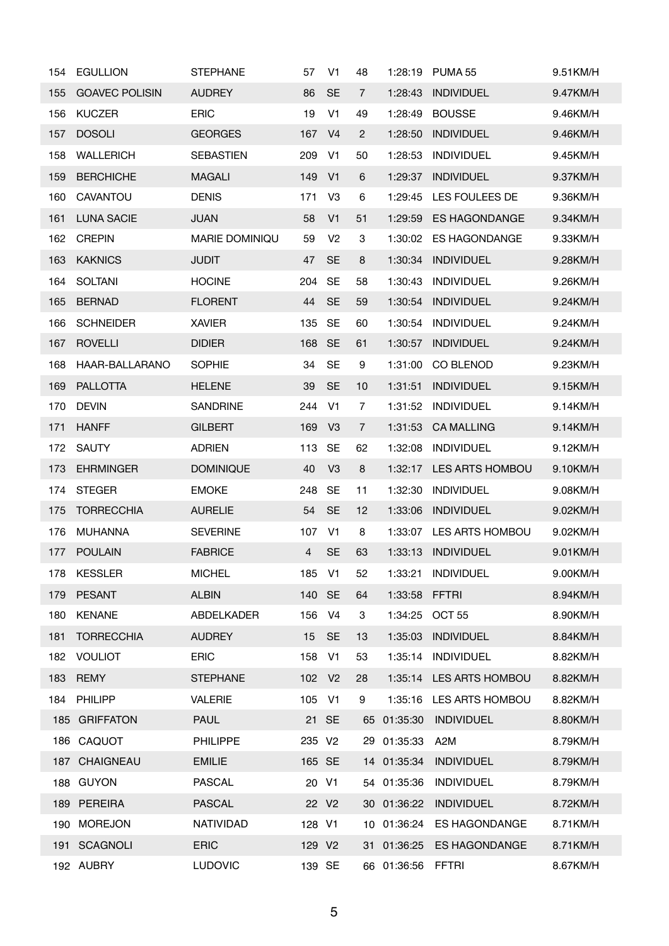| 154 | <b>EGULLION</b>       | <b>STEPHANE</b>       | 57                 | V <sub>1</sub>    | 48             | 1:28:19     | PUMA <sub>55</sub>     | 9.51KM/H |
|-----|-----------------------|-----------------------|--------------------|-------------------|----------------|-------------|------------------------|----------|
| 155 | <b>GOAVEC POLISIN</b> | <b>AUDREY</b>         | 86                 | <b>SE</b>         | 7              | 1:28:43     | <b>INDIVIDUEL</b>      | 9.47KM/H |
| 156 | <b>KUCZER</b>         | <b>ERIC</b>           | 19                 | V <sub>1</sub>    | 49             | 1:28:49     | <b>BOUSSE</b>          | 9.46KM/H |
| 157 | <b>DOSOLI</b>         | <b>GEORGES</b>        | 167                | V <sub>4</sub>    | $\overline{2}$ | 1:28:50     | <b>INDIVIDUEL</b>      | 9.46KM/H |
| 158 | <b>WALLERICH</b>      | <b>SEBASTIEN</b>      | 209                | V <sub>1</sub>    | 50             | 1:28:53     | <b>INDIVIDUEL</b>      | 9.45KM/H |
| 159 | <b>BERCHICHE</b>      | <b>MAGALI</b>         | 149                | V <sub>1</sub>    | 6              | 1:29:37     | <b>INDIVIDUEL</b>      | 9.37KM/H |
| 160 | CAVANTOU              | <b>DENIS</b>          | 171                | V <sub>3</sub>    | 6              | 1:29:45     | LES FOULEES DE         | 9.36KM/H |
| 161 | <b>LUNA SACIE</b>     | <b>JUAN</b>           | 58                 | V <sub>1</sub>    | 51             | 1:29:59     | <b>ES HAGONDANGE</b>   | 9.34KM/H |
| 162 | <b>CREPIN</b>         | <b>MARIE DOMINIQU</b> | 59                 | V <sub>2</sub>    | 3              | 1:30:02     | <b>ES HAGONDANGE</b>   | 9.33KM/H |
| 163 | <b>KAKNICS</b>        | <b>JUDIT</b>          | 47                 | <b>SE</b>         | 8              | 1:30:34     | <b>INDIVIDUEL</b>      | 9.28KM/H |
| 164 | <b>SOLTANI</b>        | <b>HOCINE</b>         | 204                | <b>SE</b>         | 58             | 1:30:43     | <b>INDIVIDUEL</b>      | 9.26KM/H |
| 165 | <b>BERNAD</b>         | <b>FLORENT</b>        | 44                 | <b>SE</b>         | 59             | 1:30:54     | <b>INDIVIDUEL</b>      | 9.24KM/H |
| 166 | <b>SCHNEIDER</b>      | <b>XAVIER</b>         | 135                | <b>SE</b>         | 60             | 1:30:54     | <b>INDIVIDUEL</b>      | 9.24KM/H |
| 167 | <b>ROVELLI</b>        | <b>DIDIER</b>         | 168 SE             |                   | 61             | 1:30:57     | <b>INDIVIDUEL</b>      | 9.24KM/H |
| 168 | HAAR-BALLARANO        | <b>SOPHIE</b>         | 34                 | <b>SE</b>         | 9              | 1:31:00     | CO BLENOD              | 9.23KM/H |
| 169 | <b>PALLOTTA</b>       | <b>HELENE</b>         | 39                 | <b>SE</b>         | 10             | 1:31:51     | <b>INDIVIDUEL</b>      | 9.15KM/H |
| 170 | <b>DEVIN</b>          | <b>SANDRINE</b>       | 244                | V <sub>1</sub>    | 7              | 1:31:52     | <b>INDIVIDUEL</b>      | 9.14KM/H |
| 171 | <b>HANFF</b>          | <b>GILBERT</b>        | 169                | V <sub>3</sub>    | 7              | 1:31:53     | <b>CA MALLING</b>      | 9.14KM/H |
| 172 | <b>SAUTY</b>          | <b>ADRIEN</b>         | 113                | <b>SE</b>         | 62             | 1:32:08     | <b>INDIVIDUEL</b>      | 9.12KM/H |
| 173 | <b>EHRMINGER</b>      | <b>DOMINIQUE</b>      | 40                 | V <sub>3</sub>    | 8              | 1:32:17     | <b>LES ARTS HOMBOU</b> | 9.10KM/H |
| 174 | <b>STEGER</b>         | <b>EMOKE</b>          | 248                | <b>SE</b>         | 11             | 1:32:30     | <b>INDIVIDUEL</b>      | 9.08KM/H |
| 175 | <b>TORRECCHIA</b>     | <b>AURELIE</b>        | 54                 | <b>SE</b>         | 12             | 1:33:06     | <b>INDIVIDUEL</b>      | 9.02KM/H |
| 176 | <b>MUHANNA</b>        | <b>SEVERINE</b>       | 107                | V <sub>1</sub>    | 8              | 1:33:07     | LES ARTS HOMBOU        | 9.02KM/H |
| 177 | <b>POULAIN</b>        | <b>FABRICE</b>        | 4                  | <b>SE</b>         | 63             | 1:33:13     | <b>INDIVIDUEL</b>      | 9.01KM/H |
| 178 | <b>KESSLER</b>        | <b>MICHEL</b>         | 185                | V <sub>1</sub>    | 52             | 1:33:21     | <b>INDIVIDUEL</b>      | 9.00KM/H |
| 179 | <b>PESANT</b>         | <b>ALBIN</b>          | 140                | <b>SE</b>         | 64             | 1:33:58     | <b>FFTRI</b>           | 8.94KM/H |
| 180 | <b>KENANE</b>         | ABDELKADER            | 156                | V4                | 3              | 1:34:25     | OCT <sub>55</sub>      | 8.90KM/H |
| 181 | <b>TORRECCHIA</b>     | <b>AUDREY</b>         | 15                 | <b>SE</b>         | 13             | 1:35:03     | <b>INDIVIDUEL</b>      | 8.84KM/H |
| 182 | <b>VOULIOT</b>        | <b>ERIC</b>           | 158                | V1                | 53             | 1:35:14     | <b>INDIVIDUEL</b>      | 8.82KM/H |
| 183 | <b>REMY</b>           | <b>STEPHANE</b>       | 102 V <sub>2</sub> |                   | 28             | 1:35:14     | LES ARTS HOMBOU        | 8.82KM/H |
| 184 | PHILIPP               | <b>VALERIE</b>        | 105                | V <sub>1</sub>    | 9              | 1:35:16     | LES ARTS HOMBOU        | 8.82KM/H |
|     | 185 GRIFFATON         | <b>PAUL</b>           |                    | 21 SE             |                | 65 01:35:30 | <b>INDIVIDUEL</b>      | 8.80KM/H |
|     | 186 CAQUOT            | <b>PHILIPPE</b>       | 235 V2             |                   |                | 29 01:35:33 | A <sub>2</sub> M       | 8.79KM/H |
|     | 187 CHAIGNEAU         | <b>EMILIE</b>         | 165 SE             |                   |                | 14 01:35:34 | <b>INDIVIDUEL</b>      | 8.79KM/H |
| 188 | <b>GUYON</b>          | <b>PASCAL</b>         | 20 V1              |                   |                | 54 01:35:36 | <b>INDIVIDUEL</b>      | 8.79KM/H |
|     | 189 PEREIRA           | <b>PASCAL</b>         |                    | 22 V <sub>2</sub> |                | 30 01:36:22 | <b>INDIVIDUEL</b>      | 8.72KM/H |
| 190 | <b>MOREJON</b>        | NATIVIDAD             | 128 V1             |                   |                | 10 01:36:24 | <b>ES HAGONDANGE</b>   | 8.71KM/H |
| 191 | <b>SCAGNOLI</b>       | <b>ERIC</b>           | 129 V <sub>2</sub> |                   |                | 31 01:36:25 | <b>ES HAGONDANGE</b>   | 8.71KM/H |
|     | 192 AUBRY             | <b>LUDOVIC</b>        | 139 SE             |                   |                | 66 01:36:56 | FFTRI                  | 8.67KM/H |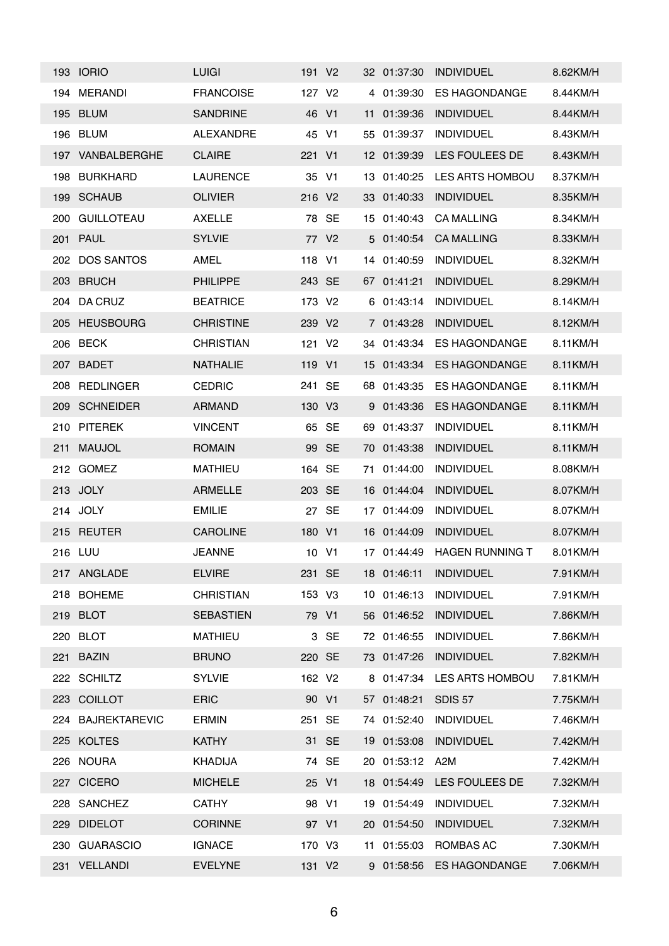|     | <b>193 IORIO</b>  | <b>LUIGI</b>     | 191 V <sub>2</sub> |                   |    | 32 01:37:30 | <b>INDIVIDUEL</b>      | 8.62KM/H |
|-----|-------------------|------------------|--------------------|-------------------|----|-------------|------------------------|----------|
| 194 | <b>MERANDI</b>    | <b>FRANCOISE</b> | 127 V <sub>2</sub> |                   |    | 4 01:39:30  | <b>ES HAGONDANGE</b>   | 8.44KM/H |
|     | 195 BLUM          | <b>SANDRINE</b>  | 46 V1              |                   |    | 11 01:39:36 | <b>INDIVIDUEL</b>      | 8.44KM/H |
|     | 196 BLUM          | <b>ALEXANDRE</b> | 45                 | V <sub>1</sub>    | 55 | 01:39:37    | <b>INDIVIDUEL</b>      | 8.43KM/H |
|     | 197 VANBALBERGHE  | <b>CLAIRE</b>    | 221 V1             |                   |    | 12 01:39:39 | LES FOULEES DE         | 8.43KM/H |
| 198 | <b>BURKHARD</b>   | <b>LAURENCE</b>  | 35 V1              |                   |    | 13 01:40:25 | <b>LES ARTS HOMBOU</b> | 8.37KM/H |
| 199 | <b>SCHAUB</b>     | <b>OLIVIER</b>   | 216 V <sub>2</sub> |                   |    | 33 01:40:33 | <b>INDIVIDUEL</b>      | 8.35KM/H |
| 200 | <b>GUILLOTEAU</b> | <b>AXELLE</b>    |                    | 78 SE             |    | 15 01:40:43 | <b>CA MALLING</b>      | 8.34KM/H |
|     | 201 PAUL          | <b>SYLVIE</b>    |                    | 77 V <sub>2</sub> |    | 5 01:40:54  | <b>CA MALLING</b>      | 8.33KM/H |
|     | 202 DOS SANTOS    | AMEL             | 118 V1             |                   |    | 14 01:40:59 | <b>INDIVIDUEL</b>      | 8.32KM/H |
|     | 203 BRUCH         | <b>PHILIPPE</b>  | 243 SE             |                   |    | 67 01:41:21 | <b>INDIVIDUEL</b>      | 8.29KM/H |
| 204 | DA CRUZ           | <b>BEATRICE</b>  | 173 V <sub>2</sub> |                   |    | 6 01:43:14  | <b>INDIVIDUEL</b>      | 8.14KM/H |
| 205 | <b>HEUSBOURG</b>  | <b>CHRISTINE</b> | 239 V2             |                   |    | 7 01:43:28  | <b>INDIVIDUEL</b>      | 8.12KM/H |
| 206 | <b>BECK</b>       | <b>CHRISTIAN</b> | 121                | V <sub>2</sub>    |    | 34 01:43:34 | <b>ES HAGONDANGE</b>   | 8.11KM/H |
| 207 | BADET             | <b>NATHALIE</b>  | 119 V1             |                   | 15 | 01:43:34    | <b>ES HAGONDANGE</b>   | 8.11KM/H |
| 208 | <b>REDLINGER</b>  | <b>CEDRIC</b>    | 241                | SE                |    | 68 01:43:35 | <b>ES HAGONDANGE</b>   | 8.11KM/H |
| 209 | <b>SCHNEIDER</b>  | <b>ARMAND</b>    | 130 V3             |                   |    | 9 01:43:36  | <b>ES HAGONDANGE</b>   | 8.11KM/H |
| 210 | <b>PITEREK</b>    | <b>VINCENT</b>   |                    | 65 SE             | 69 | 01:43:37    | <b>INDIVIDUEL</b>      | 8.11KM/H |
| 211 | <b>MAUJOL</b>     | <b>ROMAIN</b>    |                    | 99 SE             |    | 70 01:43:38 | <b>INDIVIDUEL</b>      | 8.11KM/H |
|     | 212 GOMEZ         | <b>MATHIEU</b>   | 164 SE             |                   | 71 | 01:44:00    | <b>INDIVIDUEL</b>      | 8.08KM/H |
|     | 213 JOLY          | <b>ARMELLE</b>   | 203 SE             |                   |    | 16 01:44:04 | <b>INDIVIDUEL</b>      | 8.07KM/H |
|     | 214 JOLY          | <b>EMILIE</b>    |                    | 27 SE             | 17 | 01:44:09    | <b>INDIVIDUEL</b>      | 8.07KM/H |
|     | 215 REUTER        | <b>CAROLINE</b>  | 180 V1             |                   |    | 16 01:44:09 | <b>INDIVIDUEL</b>      | 8.07KM/H |
|     | 216 LUU           | <b>JEANNE</b>    | 10 V1              |                   |    | 17 01:44:49 | <b>HAGEN RUNNING T</b> | 8.01KM/H |
|     | 217 ANGLADE       | <b>ELVIRE</b>    | 231 SE             |                   |    | 18 01:46:11 | <b>INDIVIDUEL</b>      | 7.91KM/H |
|     | 218 BOHEME        | <b>CHRISTIAN</b> | 153 V3             |                   |    | 10 01:46:13 | <b>INDIVIDUEL</b>      | 7.91KM/H |
|     | 219 BLOT          | <b>SEBASTIEN</b> | 79 V1              |                   |    | 56 01:46:52 | <b>INDIVIDUEL</b>      | 7.86KM/H |
|     | 220 BLOT          | <b>MATHIEU</b>   |                    | 3 SE              |    | 72 01:46:55 | <b>INDIVIDUEL</b>      | 7.86KM/H |
|     | 221 BAZIN         | <b>BRUNO</b>     | 220 SE             |                   |    | 73 01:47:26 | <b>INDIVIDUEL</b>      | 7.82KM/H |
|     | 222 SCHILTZ       | <b>SYLVIE</b>    | 162 V2             |                   |    | 8 01:47:34  | LES ARTS HOMBOU        | 7.81KM/H |
|     | 223 COILLOT       | <b>ERIC</b>      | 90 V1              |                   |    | 57 01:48:21 | <b>SDIS 57</b>         | 7.75KM/H |
|     | 224 BAJREKTAREVIC | <b>ERMIN</b>     | 251 SE             |                   |    | 74 01:52:40 | <b>INDIVIDUEL</b>      | 7.46KM/H |
|     | 225 KOLTES        | <b>KATHY</b>     |                    | 31 SE             |    | 19 01:53:08 | <b>INDIVIDUEL</b>      | 7.42KM/H |
|     | 226 NOURA         | <b>KHADIJA</b>   |                    | 74 SE             |    | 20 01:53:12 | A2M                    | 7.42KM/H |
|     | 227 CICERO        | <b>MICHELE</b>   | 25 V1              |                   |    | 18 01:54:49 | LES FOULEES DE         | 7.32KM/H |
|     | 228 SANCHEZ       | <b>CATHY</b>     | 98 V1              |                   |    | 19 01:54:49 | <b>INDIVIDUEL</b>      | 7.32KM/H |
|     | 229 DIDELOT       | <b>CORINNE</b>   | 97 V1              |                   |    | 20 01:54:50 | <b>INDIVIDUEL</b>      | 7.32KM/H |
|     | 230 GUARASCIO     | <b>IGNACE</b>    | 170 V3             |                   |    | 11 01:55:03 | ROMBAS AC              | 7.30KM/H |
|     | 231 VELLANDI      | <b>EVELYNE</b>   | 131 V2             |                   |    | 9 01:58:56  | <b>ES HAGONDANGE</b>   | 7.06KM/H |